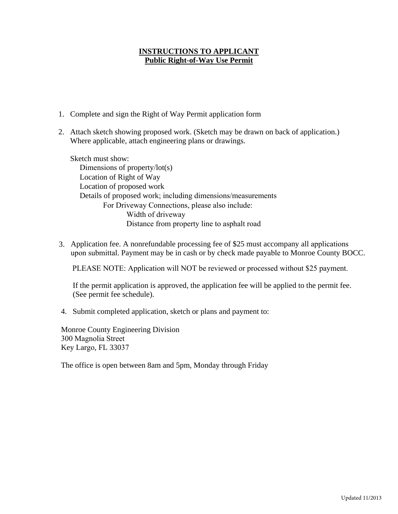### **INSTRUCTIONS TO APPLICANT Public Right-of-Way Use Permit**

- 1. Complete and sign the Right of Way Permit application form
- 2. Attach sketch showing proposed work. (Sketch may be drawn on back of application.) Where applicable, attach engineering plans or drawings.

Sketch must show: Dimensions of property/lot(s) Location of Right of Way Location of proposed work Details of proposed work; including dimensions/measurements For Driveway Connections, please also include: Width of driveway Distance from property line to asphalt road

3. Application fee. A nonrefundable processing fee of \$25 must accompany all applications upon submittal. Payment may be in cash or by check made payable to Monroe County BOCC.

PLEASE NOTE: Application will NOT be reviewed or processed without \$25 payment.

If the permit application is approved, the application fee will be applied to the permit fee. (See permit fee schedule).

4. Submit completed application, sketch or plans and payment to:

Monroe County Engineering Division 300 Magnolia Street Key Largo, FL 33037

The office is open between 8am and 5pm, Monday through Friday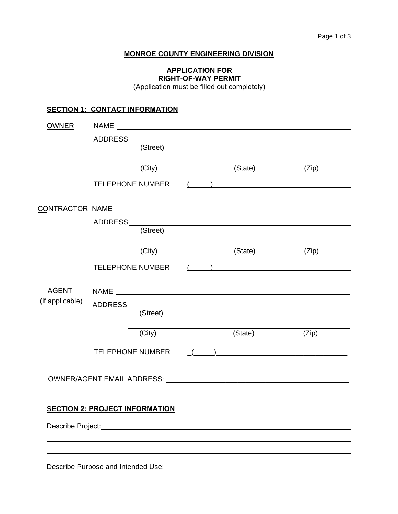### **MONROE COUNTY ENGINEERING DIVISION**

# **APPLICATION FOR RIGHT-OF-WAY PERMIT**

(Application must be filled out completely)

## **SECTION 1: CONTACT INFORMATION**

| <b>OWNER</b>    |                                                                                                                                                                                                                                      |          |  |  |                                                    |                                                                                 |
|-----------------|--------------------------------------------------------------------------------------------------------------------------------------------------------------------------------------------------------------------------------------|----------|--|--|----------------------------------------------------|---------------------------------------------------------------------------------|
|                 | ADDRESS________                                                                                                                                                                                                                      |          |  |  |                                                    |                                                                                 |
|                 |                                                                                                                                                                                                                                      | (Street) |  |  |                                                    |                                                                                 |
|                 |                                                                                                                                                                                                                                      | (City)   |  |  | (State)                                            | (Zip)                                                                           |
|                 |                                                                                                                                                                                                                                      |          |  |  |                                                    |                                                                                 |
|                 | <b>TELEPHONE NUMBER</b>                                                                                                                                                                                                              |          |  |  |                                                    |                                                                                 |
| CONTRACTOR NAME |                                                                                                                                                                                                                                      |          |  |  |                                                    |                                                                                 |
|                 |                                                                                                                                                                                                                                      |          |  |  |                                                    |                                                                                 |
|                 |                                                                                                                                                                                                                                      | (Street) |  |  |                                                    |                                                                                 |
|                 |                                                                                                                                                                                                                                      | (City)   |  |  | (State)                                            | (Zip)                                                                           |
|                 | TELEPHONE NUMBER                                                                                                                                                                                                                     |          |  |  |                                                    | $($ $)$                                                                         |
|                 |                                                                                                                                                                                                                                      |          |  |  |                                                    |                                                                                 |
| (if applicable) |                                                                                                                                                                                                                                      |          |  |  |                                                    |                                                                                 |
|                 | ADDRESS________<br><u> 1980 - Jan Samuel Barbara, margaret eta idazlea (h. 1905).</u>                                                                                                                                                |          |  |  |                                                    |                                                                                 |
|                 |                                                                                                                                                                                                                                      | (Street) |  |  |                                                    |                                                                                 |
|                 |                                                                                                                                                                                                                                      | (City)   |  |  | (State)                                            | (Zip)                                                                           |
|                 | TELEPHONE NUMBER                                                                                                                                                                                                                     |          |  |  | $\left(\begin{array}{cc} 1 & 1 \end{array}\right)$ |                                                                                 |
|                 |                                                                                                                                                                                                                                      |          |  |  |                                                    |                                                                                 |
|                 |                                                                                                                                                                                                                                      |          |  |  |                                                    |                                                                                 |
|                 |                                                                                                                                                                                                                                      |          |  |  |                                                    |                                                                                 |
|                 |                                                                                                                                                                                                                                      |          |  |  |                                                    |                                                                                 |
|                 | <b>SECTION 2: PROJECT INFORMATION</b>                                                                                                                                                                                                |          |  |  |                                                    |                                                                                 |
|                 | Describe Project: <u>Contract Contract Contract Contract Contract Contract Contract Contract Contract Contract Contract Contract Contract Contract Contract Contract Contract Contract Contract Contract Contract Contract Contr</u> |          |  |  |                                                    |                                                                                 |
|                 |                                                                                                                                                                                                                                      |          |  |  |                                                    |                                                                                 |
|                 |                                                                                                                                                                                                                                      |          |  |  |                                                    |                                                                                 |
|                 |                                                                                                                                                                                                                                      |          |  |  |                                                    | Describe Purpose and Intended Use:<br><u>Describe Purpose and Intended Use:</u> |
|                 |                                                                                                                                                                                                                                      |          |  |  |                                                    |                                                                                 |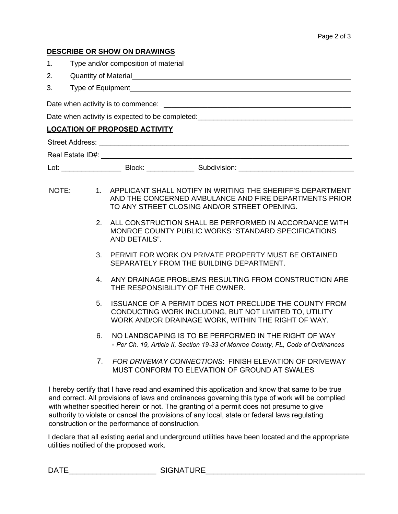### **DESCRIBE OR SHOW ON DRAWINGS**

| 1.                                                                               |                                | Type and/or composition of material example and the state of the state of the state of the state of the state of the state of the state of the state of the state of the state of the state of the state of the state of the s                                                              |  |  |  |  |  |  |
|----------------------------------------------------------------------------------|--------------------------------|---------------------------------------------------------------------------------------------------------------------------------------------------------------------------------------------------------------------------------------------------------------------------------------------|--|--|--|--|--|--|
| 2.                                                                               |                                |                                                                                                                                                                                                                                                                                             |  |  |  |  |  |  |
| 3.                                                                               |                                |                                                                                                                                                                                                                                                                                             |  |  |  |  |  |  |
|                                                                                  |                                |                                                                                                                                                                                                                                                                                             |  |  |  |  |  |  |
| Date when activity is expected to be completed: ________________________________ |                                |                                                                                                                                                                                                                                                                                             |  |  |  |  |  |  |
| <b>LOCATION OF PROPOSED ACTIVITY</b>                                             |                                |                                                                                                                                                                                                                                                                                             |  |  |  |  |  |  |
|                                                                                  |                                |                                                                                                                                                                                                                                                                                             |  |  |  |  |  |  |
|                                                                                  |                                |                                                                                                                                                                                                                                                                                             |  |  |  |  |  |  |
|                                                                                  |                                |                                                                                                                                                                                                                                                                                             |  |  |  |  |  |  |
| NOTE:                                                                            |                                | 1. APPLICANT SHALL NOTIFY IN WRITING THE SHERIFF'S DEPARTMENT<br>AND THE CONCERNED AMBULANCE AND FIRE DEPARTMENTS PRIOR<br>TO ANY STREET CLOSING AND/OR STREET OPENING.                                                                                                                     |  |  |  |  |  |  |
|                                                                                  | 2.                             | ALL CONSTRUCTION SHALL BE PERFORMED IN ACCORDANCE WITH<br>MONROE COUNTY PUBLIC WORKS "STANDARD SPECIFICATIONS<br>AND DETAILS".                                                                                                                                                              |  |  |  |  |  |  |
|                                                                                  | 3.                             | PERMIT FOR WORK ON PRIVATE PROPERTY MUST BE OBTAINED<br>SEPARATELY FROM THE BUILDING DEPARTMENT.                                                                                                                                                                                            |  |  |  |  |  |  |
|                                                                                  | 4.                             | ANY DRAINAGE PROBLEMS RESULTING FROM CONSTRUCTION ARE<br>THE RESPONSIBILITY OF THE OWNER.                                                                                                                                                                                                   |  |  |  |  |  |  |
|                                                                                  | 5.                             | <b>ISSUANCE OF A PERMIT DOES NOT PRECLUDE THE COUNTY FROM</b><br>CONDUCTING WORK INCLUDING, BUT NOT LIMITED TO, UTILITY<br>WORK AND/OR DRAINAGE WORK, WITHIN THE RIGHT OF WAY.                                                                                                              |  |  |  |  |  |  |
|                                                                                  | 6.                             | NO LANDSCAPING IS TO BE PERFORMED IN THE RIGHT OF WAY<br>- Per Ch. 19, Article II, Section 19-33 of Monroe County, FL, Code of Ordinances                                                                                                                                                   |  |  |  |  |  |  |
|                                                                                  | $7_{\scriptscriptstyle{\sim}}$ | FOR DRIVEWAY CONNECTIONS: FINISH ELEVATION OF DRIVEWAY<br>MUST CONFORM TO ELEVATION OF GROUND AT SWALES                                                                                                                                                                                     |  |  |  |  |  |  |
|                                                                                  |                                | I hereby certify that I have read and examined this application and know that same to be true<br>and correct. All provisions of laws and ordinances governing this type of work will be complied<br>with whether specified herein or not. The granting of a permit does not presume to give |  |  |  |  |  |  |

I declare that all existing aerial and underground utilities have been located and the appropriate utilities notified of the proposed work.

authority to violate or cancel the provisions of any local, state or federal laws regulating

construction or the performance of construction.

DATE\_\_\_\_\_\_\_\_\_\_\_\_\_\_\_\_\_\_\_\_\_\_ SIGNATURE\_\_\_\_\_\_\_\_\_\_\_\_\_\_\_\_\_\_\_\_\_\_\_\_\_\_\_\_\_\_\_\_\_\_\_\_\_\_\_\_